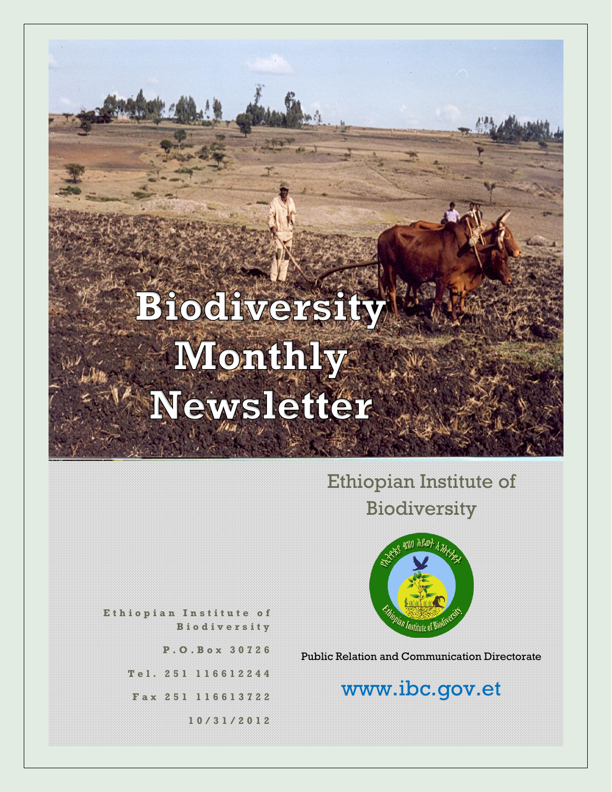## Ethiopian Institute of Biodiversity



**E t h i o p i a n I n s t i t u t e o f B i o d i v e r s i t y**

**P . O . B o x 3 0 7 2 6**

**T e l . 2 5 1 1 1 6 6 1 2 2 4 4**

**F a x 2 5 1 116613722**

**1 0 / 3 1 / 2 0 1 2**

Public Relation and Communication Directorate

## www.ibc.gov.et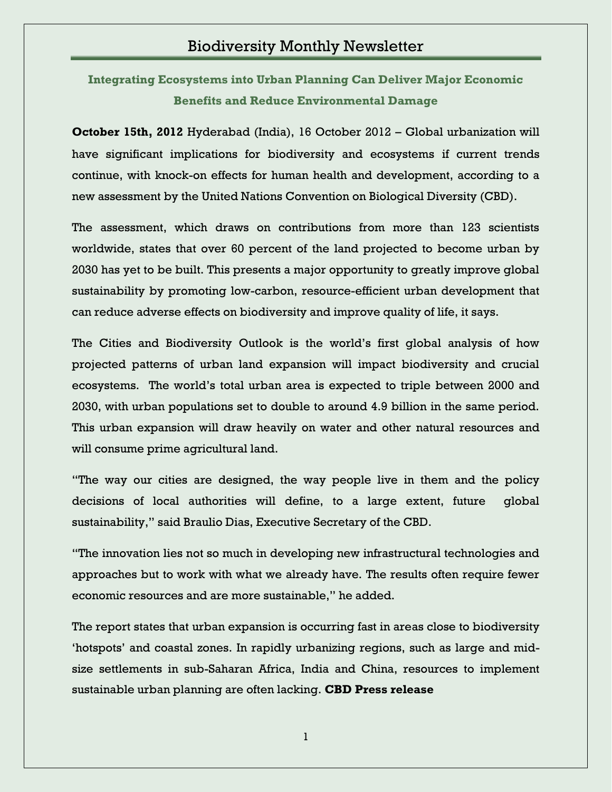**Integrating Ecosystems into Urban Planning Can Deliver Major Economic Benefits and Reduce Environmental Damage**

**October 15th, 2012** Hyderabad (India), 16 October 2012 – Global urbanization will have significant implications for biodiversity and ecosystems if current trends continue, with knock-on effects for human health and development, according to a new assessment by the United Nations Convention on Biological Diversity (CBD).

The assessment, which draws on contributions from more than 123 scientists worldwide, states that over 60 percent of the land projected to become urban by 2030 has yet to be built. This presents a major opportunity to greatly improve global sustainability by promoting low-carbon, resource-efficient urban development that can reduce adverse effects on biodiversity and improve quality of life, it says.

The Cities and Biodiversity Outlook is the world"s first global analysis of how projected patterns of urban land expansion will impact biodiversity and crucial ecosystems. The world"s total urban area is expected to triple between 2000 and 2030, with urban populations set to double to around 4.9 billion in the same period. This urban expansion will draw heavily on water and other natural resources and will consume prime agricultural land.

"The way our cities are designed, the way people live in them and the policy decisions of local authorities will define, to a large extent, future global sustainability," said Braulio Dias, Executive Secretary of the CBD.

"The innovation lies not so much in developing new infrastructural technologies and approaches but to work with what we already have. The results often require fewer economic resources and are more sustainable," he added.

The report states that urban expansion is occurring fast in areas close to biodiversity 'hotspots' and coastal zones. In rapidly urbanizing regions, such as large and midsize settlements in sub-Saharan Africa, India and China, resources to implement sustainable urban planning are often lacking. **CBD Press release**

1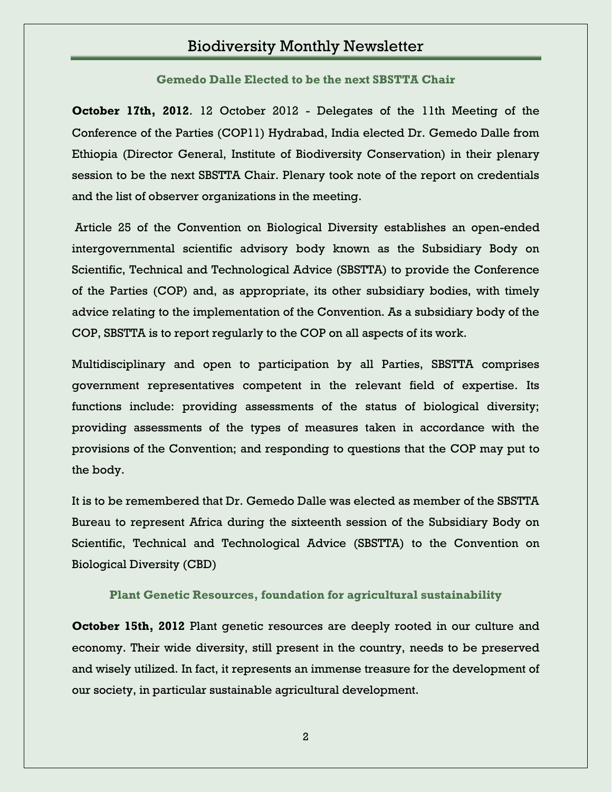**Gemedo Dalle Elected to be the next SBSTTA Chair**

**October 17th, 2012**. 12 October 2012 - Delegates of the 11th Meeting of the Conference of the Parties (COP11) Hydrabad, India elected Dr. Gemedo Dalle from Ethiopia (Director General, Institute of Biodiversity Conservation) in their plenary session to be the next SBSTTA Chair. Plenary took note of the report on credentials and the list of observer organizations in the meeting.

Article 25 of the Convention on Biological Diversity establishes an open-ended intergovernmental scientific advisory body known as the Subsidiary Body on Scientific, Technical and Technological Advice (SBSTTA) to provide the Conference of the Parties (COP) and, as appropriate, its other subsidiary bodies, with timely advice relating to the implementation of the Convention. As a subsidiary body of the COP, SBSTTA is to report regularly to the COP on all aspects of its work.

Multidisciplinary and open to participation by all Parties, SBSTTA comprises government representatives competent in the relevant field of expertise. Its functions include: providing assessments of the status of biological diversity; providing assessments of the types of measures taken in accordance with the provisions of the Convention; and responding to questions that the COP may put to the body.

It is to be remembered that Dr. Gemedo Dalle was elected as member of the SBSTTA Bureau to represent Africa during the sixteenth session of the Subsidiary Body on Scientific, Technical and Technological Advice (SBSTTA) to the Convention on Biological Diversity (CBD)

#### **Plant Genetic Resources, foundation for agricultural sustainability**

**October 15th, 2012** Plant genetic resources are deeply rooted in our culture and economy. Their wide diversity, still present in the country, needs to be preserved and wisely utilized. In fact, it represents an immense treasure for the development of our society, in particular sustainable agricultural development.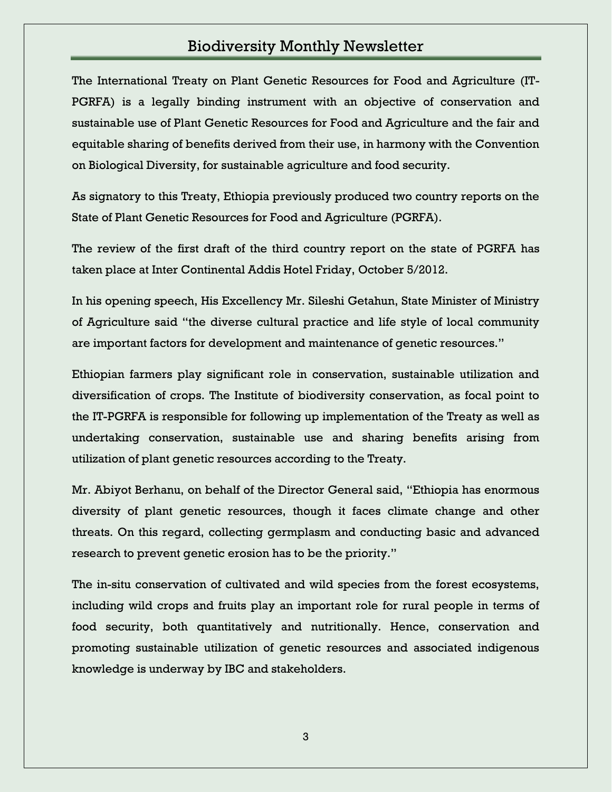The International Treaty on Plant Genetic Resources for Food and Agriculture (IT-PGRFA) is a legally binding instrument with an objective of conservation and sustainable use of Plant Genetic Resources for Food and Agriculture and the fair and equitable sharing of benefits derived from their use, in harmony with the Convention on Biological Diversity, for sustainable agriculture and food security.

As signatory to this Treaty, Ethiopia previously produced two country reports on the State of Plant Genetic Resources for Food and Agriculture (PGRFA).

The review of the first draft of the third country report on the state of PGRFA has taken place at Inter Continental Addis Hotel Friday, October 5/2012.

In his opening speech, His Excellency Mr. Sileshi Getahun, State Minister of Ministry of Agriculture said "the diverse cultural practice and life style of local community are important factors for development and maintenance of genetic resources."

Ethiopian farmers play significant role in conservation, sustainable utilization and diversification of crops. The Institute of biodiversity conservation, as focal point to the IT-PGRFA is responsible for following up implementation of the Treaty as well as undertaking conservation, sustainable use and sharing benefits arising from utilization of plant genetic resources according to the Treaty.

Mr. Abiyot Berhanu, on behalf of the Director General said, "Ethiopia has enormous diversity of plant genetic resources, though it faces climate change and other threats. On this regard, collecting germplasm and conducting basic and advanced research to prevent genetic erosion has to be the priority."

The in-situ conservation of cultivated and wild species from the forest ecosystems, including wild crops and fruits play an important role for rural people in terms of food security, both quantitatively and nutritionally. Hence, conservation and promoting sustainable utilization of genetic resources and associated indigenous knowledge is underway by IBC and stakeholders.

3